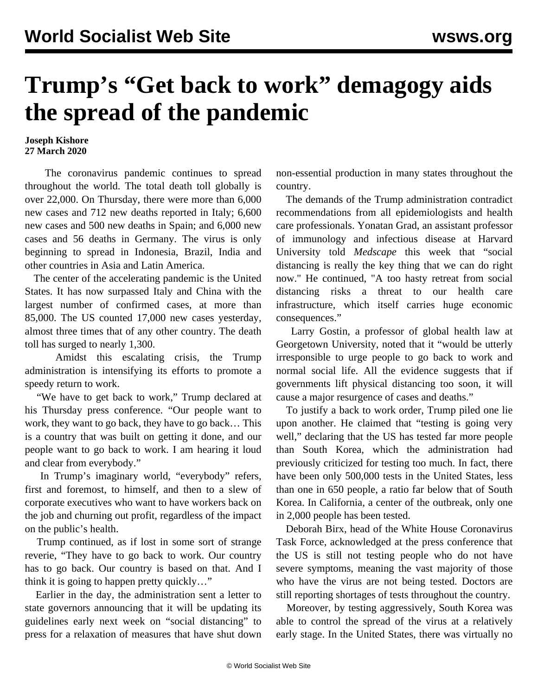## **Trump's "Get back to work" demagogy aids the spread of the pandemic**

## **Joseph Kishore 27 March 2020**

 The coronavirus pandemic continues to spread throughout the world. The total death toll globally is over 22,000. On Thursday, there were more than 6,000 new cases and 712 new deaths reported in Italy; 6,600 new cases and 500 new deaths in Spain; and 6,000 new cases and 56 deaths in Germany. The virus is only beginning to spread in Indonesia, Brazil, India and other countries in Asia and Latin America.

 The center of the accelerating pandemic is the United States. It has now surpassed Italy and China with the largest number of confirmed cases, at more than 85,000. The US counted 17,000 new cases yesterday, almost three times that of any other country. The death toll has surged to nearly 1,300.

 Amidst this escalating crisis, the Trump administration is intensifying its efforts to promote a speedy return to work.

 "We have to get back to work," Trump declared at his Thursday press conference. "Our people want to work, they want to go back, they have to go back… This is a country that was built on getting it done, and our people want to go back to work. I am hearing it loud and clear from everybody."

 In Trump's imaginary world, "everybody" refers, first and foremost, to himself, and then to a slew of corporate executives who want to have workers back on the job and churning out profit, regardless of the impact on the public's health.

 Trump continued, as if lost in some sort of strange reverie, "They have to go back to work. Our country has to go back. Our country is based on that. And I think it is going to happen pretty quickly…"

 Earlier in the day, the administration sent a letter to state governors announcing that it will be updating its guidelines early next week on "social distancing" to press for a relaxation of measures that have shut down non-essential production in many states throughout the country.

 The demands of the Trump administration contradict recommendations from all epidemiologists and health care professionals. Yonatan Grad, an assistant professor of immunology and infectious disease at Harvard University told *Medscape* this week that "social distancing is really the key thing that we can do right now." He continued, "A too hasty retreat from social distancing risks a threat to our health care infrastructure, which itself carries huge economic consequences."

 Larry Gostin, a professor of global health law at Georgetown University, noted that it "would be utterly irresponsible to urge people to go back to work and normal social life. All the evidence suggests that if governments lift physical distancing too soon, it will cause a major resurgence of cases and deaths."

 To justify a back to work order, Trump piled one lie upon another. He claimed that "testing is going very well," declaring that the US has tested far more people than South Korea, which the administration had previously criticized for testing too much. In fact, there have been only 500,000 tests in the United States, less than one in 650 people, a ratio far below that of South Korea. In California, a center of the outbreak, only one in 2,000 people has been tested.

 Deborah Birx, head of the White House Coronavirus Task Force, acknowledged at the press conference that the US is still not testing people who do not have severe symptoms, meaning the vast majority of those who have the virus are not being tested. Doctors are still reporting shortages of tests throughout the country.

 Moreover, by testing aggressively, South Korea was able to control the spread of the virus at a relatively early stage. In the United States, there was virtually no